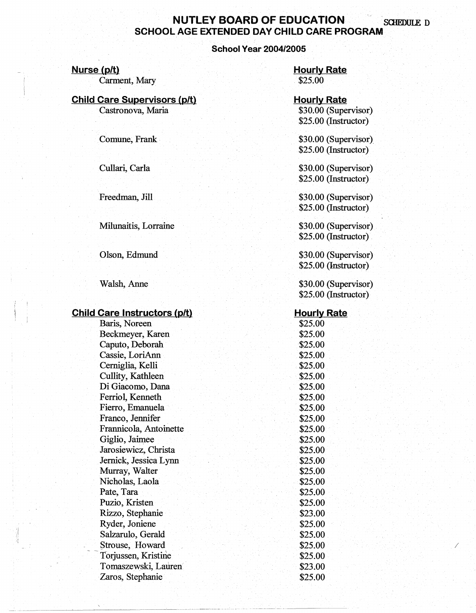# **NUTLEY BOARD OF EDUCATION SCHEDULE D SCHOOL AGE EXTENDED DAY CHILD CARE PROGRAM**

### **School Year 2004/2005**

### **Nurse (p/t)**

Carment, Mary

## **Child Care Supervisors (p/t)**

Castronova, Maria

Comune, Frank

Cullari, Carla

Freedman, Jill

### Milunaitis, Lorraine

Olson, Edmund

Walsh, Anne

### **Child Care Instructors (p/t)**

Baris, Noreen Beckmeyer, Karen Caputo, Deborah Cassie, LoriAnn Cerniglia, Kelli Cullity, Kathleen Di Giacomo, Dana Ferriol, Kenneth Fierro, Emanuela Franco, Jennifer Frannicola, Antoinette Giglio, Jaimee Jarosiewicz, Christa Jernick, Jessica Lynn Murray, Walter Nicholas, Laola Pate, Tara Puzio, Kristen Rizzo, Stephanie Ryder, Joniene Salzarulo, Gerald Strouse, Howard Torjussen, Kristine Tomaszewski, Lauren" Zaros, Stephanie

**Hourly Rate**  \$25.00

### **Hourly Rate**  \$30.00 (Supervisor) \$25.00 (Instructor)

\$30.00 (Supervisor) \$25.00 (Instructor)

\$30.00 (Supervisor) \$25.00 (Instructor)

\$30.00 (Supervisor) \$25.00 (Instructor)

\$30.00 (Supervisor) \$25.00 (Instructor)

\$30.00 (Supervisor) \$25.00 (Instructor)

\$30.00 (Supervisor) \$25.00 (Instructor)

### **Hourly Rate**

\$25.00 \$25.00 \$25.00 \$25.00 \$25.00 \$25.00 \$25.00 \$25.00 \$25.00 \$25.00 \$25.00 \$25.00 \$25.00 \$25.00 \$25.00 \$25.00 \$25.00 \$25.00 \$23.00 \$25.00 \$25.00 \$25.00 \$25.00 \$23.00 \$25.00

/